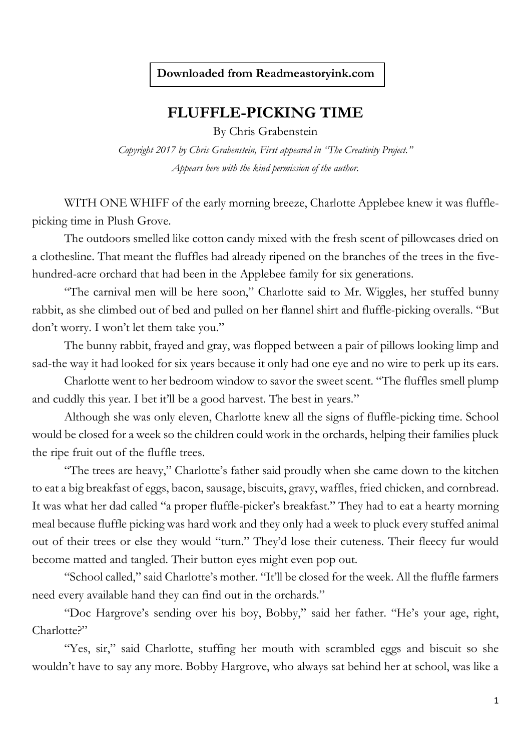## **Downloaded from Readmeastoryink.com**

## **FLUFFLE-PICKING TIME**

By Chris Grabenstein

*Copyright 2017 by Chris Grabenstein, First appeared in "The Creativity Project." Appears here with the kind permission of the author.*

WITH ONE WHIFF of the early morning breeze, Charlotte Applebee knew it was flufflepicking time in Plush Grove.

The outdoors smelled like cotton candy mixed with the fresh scent of pillowcases dried on a clothesline. That meant the fluffles had already ripened on the branches of the trees in the fivehundred-acre orchard that had been in the Applebee family for six generations.

"The carnival men will be here soon," Charlotte said to Mr. Wiggles, her stuffed bunny rabbit, as she climbed out of bed and pulled on her flannel shirt and fluffle-picking overalls. "But don't worry. I won't let them take you."

The bunny rabbit, frayed and gray, was flopped between a pair of pillows looking limp and sad-the way it had looked for six years because it only had one eye and no wire to perk up its ears.

Charlotte went to her bedroom window to savor the sweet scent. "The fluffles smell plump and cuddly this year. I bet it'll be a good harvest. The best in years."

Although she was only eleven, Charlotte knew all the signs of fluffle-picking time. School would be closed for a week so the children could work in the orchards, helping their families pluck the ripe fruit out of the fluffle trees.

"The trees are heavy," Charlotte's father said proudly when she came down to the kitchen to eat a big breakfast of eggs, bacon, sausage, biscuits, gravy, waffles, fried chicken, and cornbread. It was what her dad called "a proper fluffle-picker's breakfast." They had to eat a hearty morning meal because fluffle picking was hard work and they only had a week to pluck every stuffed animal out of their trees or else they would "turn." They'd lose their cuteness. Their fleecy fur would become matted and tangled. Their button eyes might even pop out.

"School called," said Charlotte's mother. "It'll be closed for the week. All the fluffle farmers need every available hand they can find out in the orchards."

"Doc Hargrove's sending over his boy, Bobby," said her father. "He's your age, right, Charlotte?"

"Yes, sir," said Charlotte, stuffing her mouth with scrambled eggs and biscuit so she wouldn't have to say any more. Bobby Hargrove, who always sat behind her at school, was like a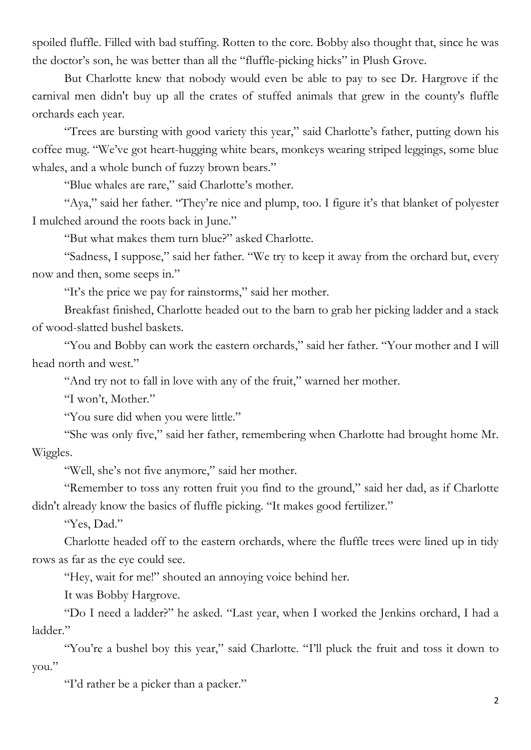spoiled fluffle. Filled with bad stuffing. Rotten to the core. Bobby also thought that, since he was the doctor's son, he was better than all the "fluffle-picking hicks" in Plush Grove.

But Charlotte knew that nobody would even be able to pay to see Dr. Hargrove if the carnival men didn't buy up all the crates of stuffed animals that grew in the county's fluffle orchards each year.

"Trees are bursting with good variety this year," said Charlotte's father, putting down his coffee mug. "We've got heart-hugging white bears, monkeys wearing striped leggings, some blue whales, and a whole bunch of fuzzy brown bears."

"Blue whales are rare," said Charlotte's mother.

"Aya," said her father. "They're nice and plump, too. I figure it's that blanket of polyester I mulched around the roots back in June."

"But what makes them turn blue?" asked Charlotte.

"Sadness, I suppose," said her father. "We try to keep it away from the orchard but, every now and then, some seeps in."

"It's the price we pay for rainstorms," said her mother.

Breakfast finished, Charlotte headed out to the barn to grab her picking ladder and a stack of wood-slatted bushel baskets.

"You and Bobby can work the eastern orchards," said her father. "Your mother and I will head north and west."

"And try not to fall in love with any of the fruit," warned her mother.

"I won't, Mother."

"You sure did when you were little."

"She was only five," said her father, remembering when Charlotte had brought home Mr. Wiggles.

"Well, she's not five anymore," said her mother.

"Remember to toss any rotten fruit you find to the ground," said her dad, as if Charlotte didn't already know the basics of fluffle picking. "It makes good fertilizer."

"Yes, Dad."

Charlotte headed off to the eastern orchards, where the fluffle trees were lined up in tidy rows as far as the eye could see.

"Hey, wait for me!" shouted an annoying voice behind her.

It was Bobby Hargrove.

"Do I need a ladder?" he asked. "Last year, when I worked the Jenkins orchard, I had a ladder."

"You're a bushel boy this year," said Charlotte. "I'll pluck the fruit and toss it down to you."

"I'd rather be a picker than a packer."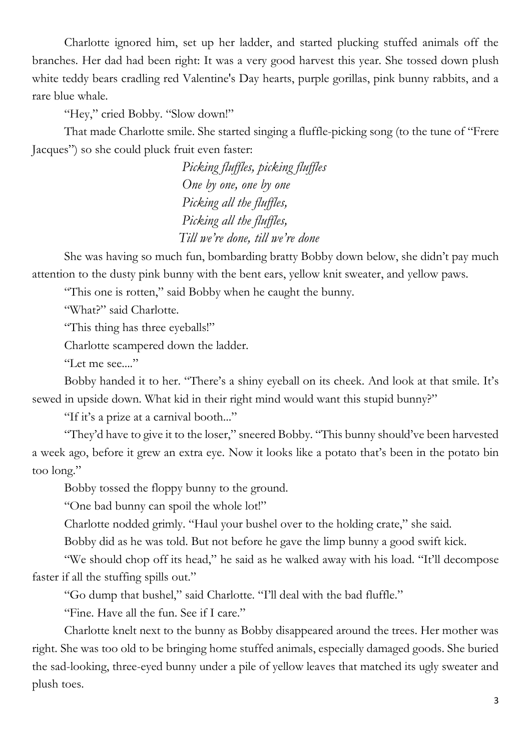Charlotte ignored him, set up her ladder, and started plucking stuffed animals off the branches. Her dad had been right: It was a very good harvest this year. She tossed down plush white teddy bears cradling red Valentine's Day hearts, purple gorillas, pink bunny rabbits, and a rare blue whale.

"Hey," cried Bobby. "Slow down!"

That made Charlotte smile. She started singing a fluffle-picking song (to the tune of "Frere Jacques") so she could pluck fruit even faster:

> *Picking fluffles, picking fluffles One by one, one by one Picking all the fluffles, Picking all the fluffles, Till we're done, till we're done*

She was having so much fun, bombarding bratty Bobby down below, she didn't pay much attention to the dusty pink bunny with the bent ears, yellow knit sweater, and yellow paws.

"This one is rotten," said Bobby when he caught the bunny.

"What?" said Charlotte.

"This thing has three eyeballs!"

Charlotte scampered down the ladder.

"Let me see...."

Bobby handed it to her. "There's a shiny eyeball on its cheek. And look at that smile. It's sewed in upside down. What kid in their right mind would want this stupid bunny?"

"If it's a prize at a carnival booth..."

"They'd have to give it to the loser," sneered Bobby. "This bunny should've been harvested a week ago, before it grew an extra eye. Now it looks like a potato that's been in the potato bin too long."

Bobby tossed the floppy bunny to the ground.

"One bad bunny can spoil the whole lot!"

Charlotte nodded grimly. "Haul your bushel over to the holding crate," she said.

Bobby did as he was told. But not before he gave the limp bunny a good swift kick.

"We should chop off its head," he said as he walked away with his load. "It'll decompose faster if all the stuffing spills out."

"Go dump that bushel," said Charlotte. "I'll deal with the bad fluffle."

"Fine. Have all the fun. See if I care."

Charlotte knelt next to the bunny as Bobby disappeared around the trees. Her mother was right. She was too old to be bringing home stuffed animals, especially damaged goods. She buried the sad-looking, three-eyed bunny under a pile of yellow leaves that matched its ugly sweater and plush toes.